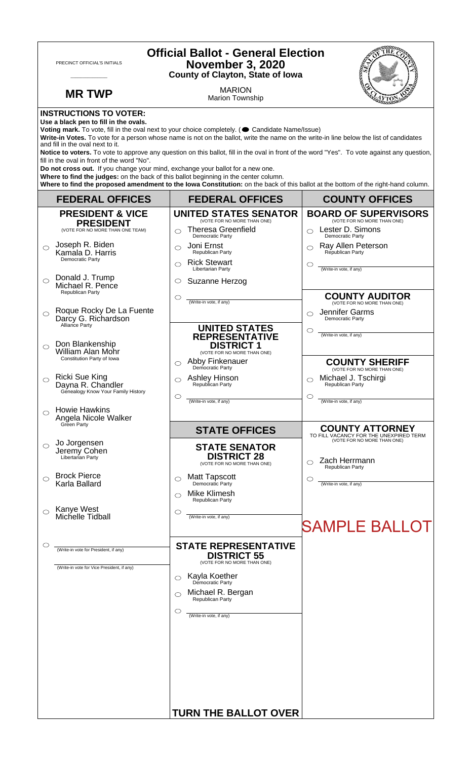| <b>Official Ballot - General Election</b><br>PRECINCT OFFICIAL'S INITIALS<br><b>November 3, 2020</b><br><b>County of Clayton, State of Iowa</b>                                                                                                                                                                                                                                                                                                                                                                                                                                                                                                                                                                                                                                                                                                                     |                                                                                             |                                                                                                                                                                                                                            |                                                                                                            |  |
|---------------------------------------------------------------------------------------------------------------------------------------------------------------------------------------------------------------------------------------------------------------------------------------------------------------------------------------------------------------------------------------------------------------------------------------------------------------------------------------------------------------------------------------------------------------------------------------------------------------------------------------------------------------------------------------------------------------------------------------------------------------------------------------------------------------------------------------------------------------------|---------------------------------------------------------------------------------------------|----------------------------------------------------------------------------------------------------------------------------------------------------------------------------------------------------------------------------|------------------------------------------------------------------------------------------------------------|--|
|                                                                                                                                                                                                                                                                                                                                                                                                                                                                                                                                                                                                                                                                                                                                                                                                                                                                     | <b>MR TWP</b>                                                                               | <b>MARION</b><br><b>Marion Township</b>                                                                                                                                                                                    |                                                                                                            |  |
| <b>INSTRUCTIONS TO VOTER:</b><br>Use a black pen to fill in the ovals.<br>Voting mark. To vote, fill in the oval next to your choice completely. (Condidate Name/Issue)<br>Write-in Votes. To vote for a person whose name is not on the ballot, write the name on the write-in line below the list of candidates<br>and fill in the oval next to it.<br>Notice to voters. To vote to approve any question on this ballot, fill in the oval in front of the word "Yes". To vote against any question,<br>fill in the oval in front of the word "No".<br>Do not cross out. If you change your mind, exchange your ballot for a new one.<br>Where to find the judges: on the back of this ballot beginning in the center column.<br>Where to find the proposed amendment to the lowa Constitution: on the back of this ballot at the bottom of the right-hand column. |                                                                                             |                                                                                                                                                                                                                            |                                                                                                            |  |
|                                                                                                                                                                                                                                                                                                                                                                                                                                                                                                                                                                                                                                                                                                                                                                                                                                                                     | <b>FEDERAL OFFICES</b>                                                                      | <b>FEDERAL OFFICES</b>                                                                                                                                                                                                     | <b>COUNTY OFFICES</b>                                                                                      |  |
|                                                                                                                                                                                                                                                                                                                                                                                                                                                                                                                                                                                                                                                                                                                                                                                                                                                                     | <b>PRESIDENT &amp; VICE</b><br><b>PRESIDENT</b>                                             | <b>UNITED STATES SENATOR</b><br>(VOTE FOR NO MORE THAN ONE)                                                                                                                                                                | <b>BOARD OF SUPERVISORS</b><br>(VOTE FOR NO MORE THAN ONE)                                                 |  |
| ⌒                                                                                                                                                                                                                                                                                                                                                                                                                                                                                                                                                                                                                                                                                                                                                                                                                                                                   | (VOTE FOR NO MORE THAN ONE TEAM)<br>Joseph R. Biden<br>Kamala D. Harris<br>Democratic Party | <b>Theresa Greenfield</b><br>$\bigcirc$<br><b>Democratic Party</b><br>Joni Ernst<br>$\bigcirc$<br>Republican Party<br><b>Rick Stewart</b><br>$\bigcap$                                                                     | Lester D. Simons<br>$\bigcirc$<br>Democratic Party<br>Ray Allen Peterson<br>Republican Party<br>C          |  |
| $\bigcirc$                                                                                                                                                                                                                                                                                                                                                                                                                                                                                                                                                                                                                                                                                                                                                                                                                                                          | Donald J. Trump<br>Michael R. Pence<br>Republican Party                                     | Libertarian Party<br>Suzanne Herzog<br>$\circ$<br>$\circ$<br>(Write-in vote, if any)                                                                                                                                       | (Write-in vote, if any)<br><b>COUNTY AUDITOR</b>                                                           |  |
| ◯                                                                                                                                                                                                                                                                                                                                                                                                                                                                                                                                                                                                                                                                                                                                                                                                                                                                   | Roque Rocky De La Fuente<br>Darcy G. Richardson<br>Alliance Party                           | <b>UNITED STATES</b><br><b>REPRESENTATIVE</b>                                                                                                                                                                              | (VOTE FOR NO MORE THAN ONE)<br>Jennifer Garms<br>Democratic Party<br>O<br>(Write-in vote, if any)          |  |
| ⌒                                                                                                                                                                                                                                                                                                                                                                                                                                                                                                                                                                                                                                                                                                                                                                                                                                                                   | Don Blankenship<br><b>William Alan Mohr</b><br>Constitution Party of Iowa                   | <b>DISTRICT 1</b><br>(VOTE FOR NO MORE THAN ONE)<br>Abby Finkenauer<br>$\circ$<br>Democratic Party                                                                                                                         | <b>COUNTY SHERIFF</b><br>(VOTE FOR NO MORE THAN ONE)                                                       |  |
| ◯                                                                                                                                                                                                                                                                                                                                                                                                                                                                                                                                                                                                                                                                                                                                                                                                                                                                   | Ricki Sue King<br>Dayna R. Chandler<br>Genealogy Know Your Family History                   | Ashley Hinson<br>◯<br>Republican Party<br>$\circ$<br>(Write-in vote, if any)                                                                                                                                               | Michael J. Tschirgi<br>Republican Party<br>O<br>(Write-in vote, if any)                                    |  |
|                                                                                                                                                                                                                                                                                                                                                                                                                                                                                                                                                                                                                                                                                                                                                                                                                                                                     | <b>Howie Hawkins</b><br>Angela Nicole Walker<br>Green Party                                 | <b>STATE OFFICES</b>                                                                                                                                                                                                       | <b>COUNTY ATTORNEY</b>                                                                                     |  |
| ◯                                                                                                                                                                                                                                                                                                                                                                                                                                                                                                                                                                                                                                                                                                                                                                                                                                                                   | Jo Jorgensen<br>Jeremy Cohen<br>Libertarian Party                                           | <b>STATE SENATOR</b><br><b>DISTRICT 28</b><br>(VOTE FOR NO MORE THAN ONE)                                                                                                                                                  | TO FILL VACANCY FOR THE UNEXPIRED TERM<br>(VOTE FOR NO MORE THAN ONE)<br>Zach Herrmann<br>Republican Party |  |
| ⌒                                                                                                                                                                                                                                                                                                                                                                                                                                                                                                                                                                                                                                                                                                                                                                                                                                                                   | <b>Brock Pierce</b><br>Karla Ballard                                                        | <b>Matt Tapscott</b><br>◯<br>Democratic Party<br>Mike Klimesh<br>⌒<br>Republican Party                                                                                                                                     | (Write-in vote, if any)                                                                                    |  |
| ◯                                                                                                                                                                                                                                                                                                                                                                                                                                                                                                                                                                                                                                                                                                                                                                                                                                                                   | Kanye West<br>Michelle Tidball                                                              | $\circlearrowright$<br>(Write-in vote, if any)                                                                                                                                                                             | <b>SAMPLE BALLOT</b>                                                                                       |  |
| O                                                                                                                                                                                                                                                                                                                                                                                                                                                                                                                                                                                                                                                                                                                                                                                                                                                                   | (Write-in vote for President, if any)<br>(Write-in vote for Vice President, if any)         | <b>STATE REPRESENTATIVE</b><br><b>DISTRICT 55</b><br>(VOTE FOR NO MORE THAN ONE)<br>Kayla Koether<br>Democratic Party<br>◯<br>Michael R. Bergan<br>◯<br>Republican Party<br>$\circlearrowright$<br>(Write-in vote, if any) |                                                                                                            |  |
|                                                                                                                                                                                                                                                                                                                                                                                                                                                                                                                                                                                                                                                                                                                                                                                                                                                                     |                                                                                             | <b>TURN THE BALLOT OVER</b>                                                                                                                                                                                                |                                                                                                            |  |

٦

 $\Gamma$